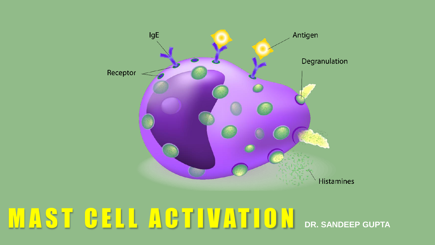

# M A S T C E L L A C T I V A T I O N DR. SANDEEP GUPTA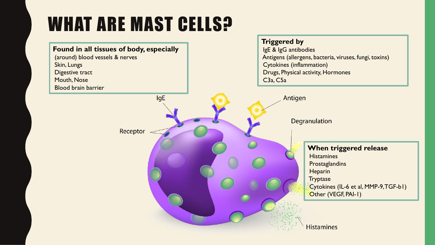# WHAT ARE MAST CELLS?

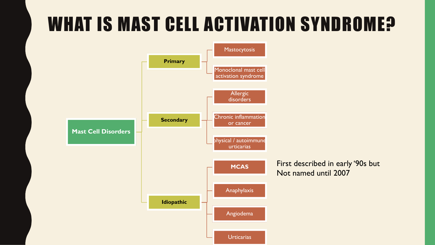# WHAT IS MAST CELL ACTIVATION SYNDROME?

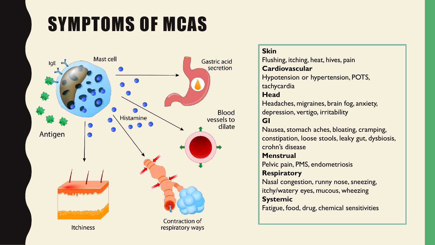# SYMPTOMS OF MCAS



#### **Skin**

Flushing, itching, heat, hives, pain **Cardiovascular** Hypotension or hypertension, POTS,

tachycardia

#### **Head**

Headaches, migraines, brain fog, anxiety, depression, vertigo, irritability

### **GI**

Nausea, stomach aches, bloating, cramping, constipation, loose stools, leaky gut, dysbiosis, crohn's disease

#### **Menstrual**

Pelvic pain, PMS, endometriosis

#### **Respiratory**

Nasal congestion, runny nose, sneezing, itchy/watery eyes, mucous, wheezing **Systemic**

Fatigue, food, drug, chemical sensitivities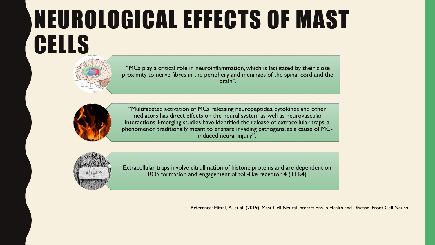# NEUROLOGICAL EFFECTS OF MAST CELLS



"MCs play a critical role in neuroinflammation, which is facilitated by their close proximity to nerve fibres in the periphery and meninges of the spinal cord and the brain".



"Multifaceted activation of MCs releasing neuropeptides, cytokines and other mediators has direct effects on the neural system as well as neurovascular interactions. Emerging studies have identified the release of extracellular traps, a phenomenon traditionally meant to ensnare invading pathogens, as a cause of MCinduced neural injury".



Extracellular traps involve citrullination of histone proteins and are dependent on ROS formation and engagement of toll-like receptor 4 (TLR4)

Reference: Mittal, A. et al. (2019). Mast Cell Neural Interactions in Health and Disease. Front Cell Neuro.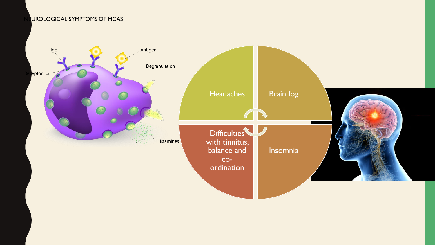UROLOGICAL SYMPTOMS OF MCAS

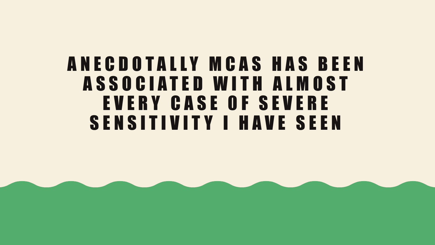### A N E C D O T A L L Y M C A S H A S B E E N A S S O C I A T E D W I T H A L M O S T E V E R Y C A S E 0 F S E V E R E SENSITIVITY I HAVE SEEN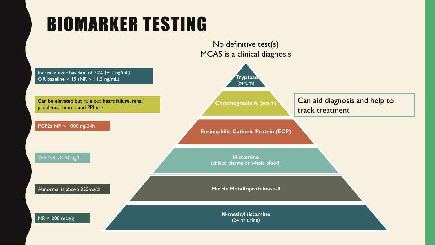# BIOMARKER TESTING

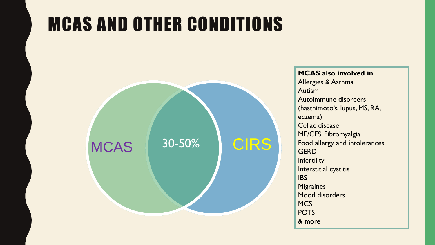# MCAS AND OTHER CONDITIONS



**MCAS also involved in** Allergies & Asthma Autism Autoimmune disorders (hasthimoto's, lupus, MS, RA, eczema) Celiac disease ME/CFS, Fibromyalgia Food allergy and intolerances **GERD Infertility** Interstitial cystitis **IBS Migraines** Mood disorders **MCS** POTS & more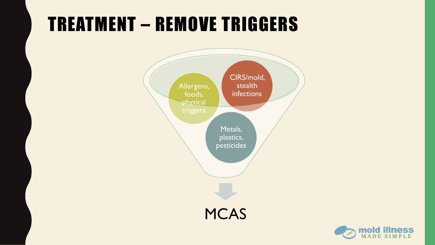## TREATMENT – REMOVE TRIGGERS



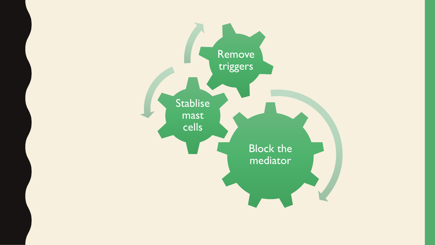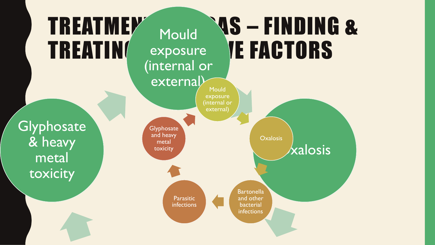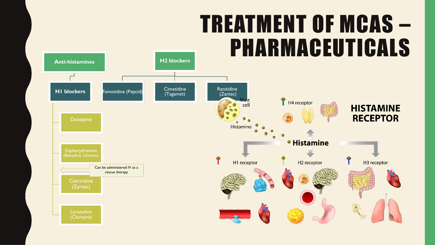# TREATMENT OF MCAS – PHARMACEUTICALS

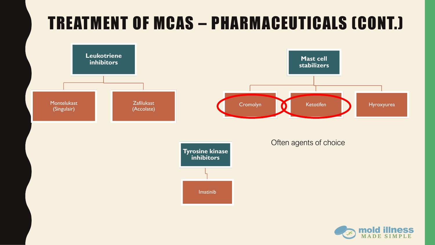### TREATMENT OF MCAS – PHARMACEUTICALS (CONT.)



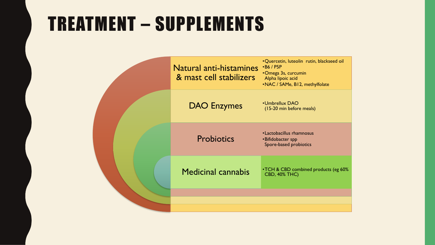### TREATMENT – SUPPLEMENTS

| <b>Natural anti-histamines</b><br>& mast cell stabilizers | .Quercetin, luteolin rutin, blackseed oil<br>$\cdot$ B6 / P5P<br>•Omega 3s, curcumin<br>Alpha lipoic acid<br>.NAC / SAMe, B12, methylfolate |
|-----------------------------------------------------------|---------------------------------------------------------------------------------------------------------------------------------------------|
| <b>DAO Enzymes</b>                                        | •Umbrellux DAO<br>(15-20 min before meals)                                                                                                  |
| <b>Probiotics</b>                                         | • Lactobacillus rhamnosus<br>•Bifidobacter spp<br>Spore-based probiotics                                                                    |
| <b>Medicinal cannabis</b>                                 | • TCH & CBD combined products (eg 60%<br><b>CBD, 40% THC)</b>                                                                               |
|                                                           |                                                                                                                                             |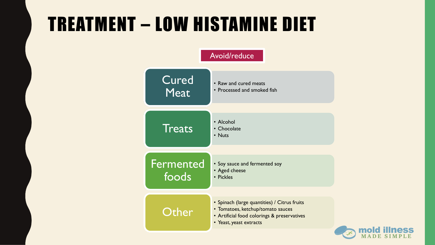# TREATMENT – LOW HISTAMINE DIET



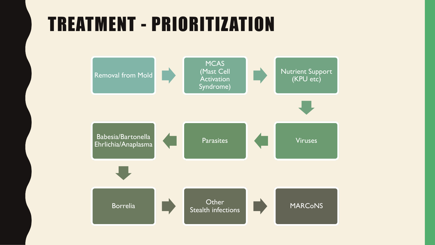### TREATMENT - PRIORITIZATION